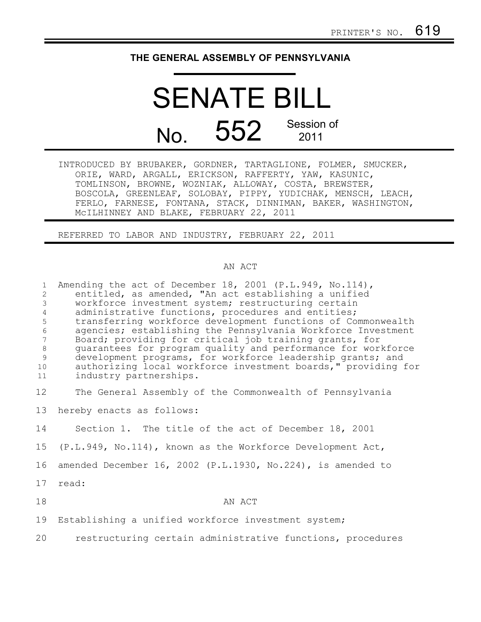## **THE GENERAL ASSEMBLY OF PENNSYLVANIA**

## SENATE BILL No. 552 Session of 2011

INTRODUCED BY BRUBAKER, GORDNER, TARTAGLIONE, FOLMER, SMUCKER, ORIE, WARD, ARGALL, ERICKSON, RAFFERTY, YAW, KASUNIC, TOMLINSON, BROWNE, WOZNIAK, ALLOWAY, COSTA, BREWSTER, BOSCOLA, GREENLEAF, SOLOBAY, PIPPY, YUDICHAK, MENSCH, LEACH, FERLO, FARNESE, FONTANA, STACK, DINNIMAN, BAKER, WASHINGTON, McILHINNEY AND BLAKE, FEBRUARY 22, 2011

REFERRED TO LABOR AND INDUSTRY, FEBRUARY 22, 2011

## AN ACT

| $\mathbf{1}$<br>2<br>$\mathfrak{Z}$<br>$\overline{4}$<br>$\mathsf S$<br>$\sqrt{6}$<br>$\overline{7}$<br>$\,8\,$<br>$\overline{9}$<br>10<br>11 | Amending the act of December 18, 2001 (P.L.949, No.114),<br>entitled, as amended, "An act establishing a unified<br>workforce investment system; restructuring certain<br>administrative functions, procedures and entities;<br>transferring workforce development functions of Commonwealth<br>agencies; establishing the Pennsylvania Workforce Investment<br>Board; providing for critical job training grants, for<br>quarantees for program quality and performance for workforce<br>development programs, for workforce leadership grants; and<br>authorizing local workforce investment boards," providing for<br>industry partnerships. |
|-----------------------------------------------------------------------------------------------------------------------------------------------|-------------------------------------------------------------------------------------------------------------------------------------------------------------------------------------------------------------------------------------------------------------------------------------------------------------------------------------------------------------------------------------------------------------------------------------------------------------------------------------------------------------------------------------------------------------------------------------------------------------------------------------------------|
| 12                                                                                                                                            | The General Assembly of the Commonwealth of Pennsylvania                                                                                                                                                                                                                                                                                                                                                                                                                                                                                                                                                                                        |
| 13                                                                                                                                            | hereby enacts as follows:                                                                                                                                                                                                                                                                                                                                                                                                                                                                                                                                                                                                                       |
| 14                                                                                                                                            | Section 1. The title of the act of December 18, 2001                                                                                                                                                                                                                                                                                                                                                                                                                                                                                                                                                                                            |
| 15                                                                                                                                            | (P.L.949, No.114), known as the Workforce Development Act,                                                                                                                                                                                                                                                                                                                                                                                                                                                                                                                                                                                      |
| 16                                                                                                                                            | amended December 16, 2002 (P.L.1930, No.224), is amended to                                                                                                                                                                                                                                                                                                                                                                                                                                                                                                                                                                                     |
| 17                                                                                                                                            | read:                                                                                                                                                                                                                                                                                                                                                                                                                                                                                                                                                                                                                                           |
| 18                                                                                                                                            | AN ACT                                                                                                                                                                                                                                                                                                                                                                                                                                                                                                                                                                                                                                          |
| 19                                                                                                                                            | Establishing a unified workforce investment system;                                                                                                                                                                                                                                                                                                                                                                                                                                                                                                                                                                                             |
| 20                                                                                                                                            | restructuring certain administrative functions, procedures                                                                                                                                                                                                                                                                                                                                                                                                                                                                                                                                                                                      |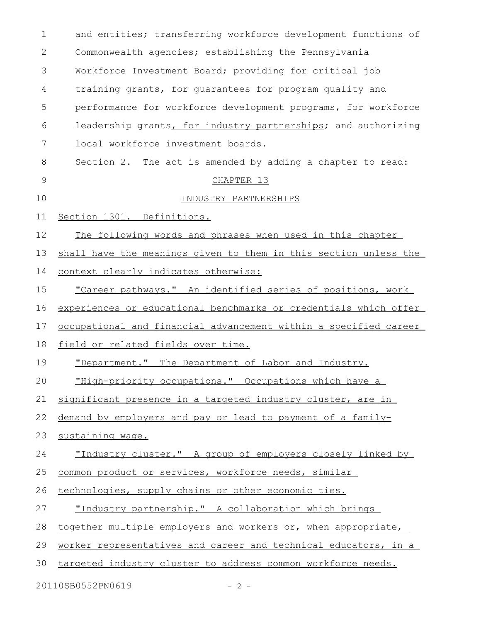| $\mathbf 1$ | and entities; transferring workforce development functions of    |
|-------------|------------------------------------------------------------------|
| 2           | Commonwealth agencies; establishing the Pennsylvania             |
| 3           | Workforce Investment Board; providing for critical job           |
| 4           | training grants, for guarantees for program quality and          |
| 5           | performance for workforce development programs, for workforce    |
| 6           | leadership grants, for industry partnerships; and authorizing    |
| 7           | local workforce investment boards.                               |
| 8           | Section 2. The act is amended by adding a chapter to read:       |
| 9           | CHAPTER 13                                                       |
| 10          | INDUSTRY PARTNERSHIPS                                            |
| 11          | Section 1301. Definitions.                                       |
| 12          | The following words and phrases when used in this chapter        |
| 13          | shall have the meanings given to them in this section unless the |
| 14          | context clearly indicates otherwise:                             |
| 15          | "Career pathways." An identified series of positions, work       |
| 16          | experiences or educational benchmarks or credentials which offer |
| 17          | occupational and financial advancement within a specified career |
| 18          | field or related fields over time.                               |
| 19          | "Department." The Department of Labor and Industry.              |
| 20          | "High-priority occupations." Occupations which have a            |
| 21          | significant presence in a targeted industry cluster, are in      |
| 22          | demand by employers and pay or lead to payment of a family-      |
| 23          | sustaining wage.                                                 |
| 24          | "Industry cluster." A group of employers closely linked by       |
| 25          | common product or services, workforce needs, similar             |
| 26          | technologies, supply chains or other economic ties.              |
| 27          | "Industry partnership." A collaboration which brings             |
| 28          | together multiple employers and workers or, when appropriate,    |
| 29          | worker representatives and career and technical educators, in a  |
| 30          | targeted industry cluster to address common workforce needs.     |
|             |                                                                  |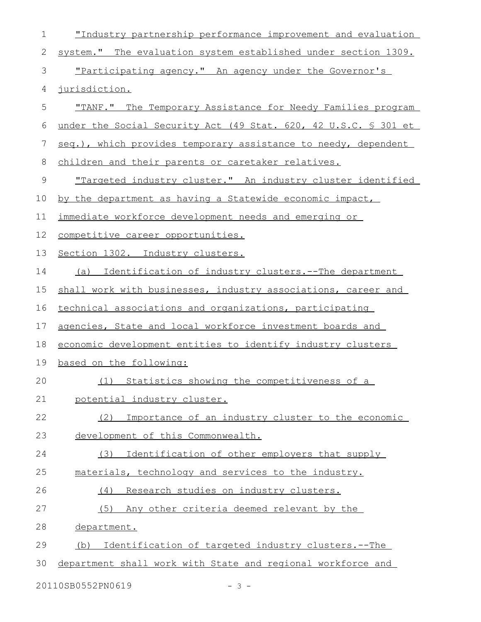| $\mathbf 1$  | "Industry partnership performance improvement and evaluation       |
|--------------|--------------------------------------------------------------------|
| $\mathbf{2}$ | system." The evaluation system established under section 1309.     |
| 3            | "Participating agency." An agency under the Governor's             |
| 4            | jurisdiction.                                                      |
| 5            | "TANF." The Temporary Assistance for Needy Families program        |
| 6            | under the Social Security Act (49 Stat. 620, 42 U.S.C. § 301 et    |
| 7            | seq.), which provides temporary assistance to needy, dependent     |
| 8            | children and their parents or caretaker relatives.                 |
| $\mathsf 9$  | <u>"Targeted industry cluster." An industry cluster identified</u> |
| 10           | by the department as having a Statewide economic impact,           |
| 11           | immediate workforce development needs and emerging or              |
| 12           | competitive career opportunities.                                  |
| 13           | Section 1302. Industry clusters.                                   |
| 14           | Identification of industry clusters.--The department<br>(a)        |
| 15           | shall work with businesses, industry associations, career and      |
| 16           | technical associations and organizations, participating            |
| 17           | agencies, State and local workforce investment boards and          |
| 18           | economic development entities to identify industry clusters        |
| 19           | based on the following:                                            |
| 20           | (1) Statistics showing the competitiveness of a                    |
| 21           | potential industry cluster.                                        |
| 22           | Importance of an industry cluster to the economic<br>(2)           |
| 23           | development of this Commonwealth.                                  |
| 24           | (3)<br>Identification of other employers that supply               |
| 25           | materials, technology and services to the industry.                |
| 26           | Research studies on industry clusters.<br>(4)                      |
| 27           | (5)<br>Any other criteria deemed relevant by the                   |
| 28           | department.                                                        |
| 29           | Identification of targeted industry clusters.--The<br>(b)          |
| 30           | department shall work with State and regional workforce and        |
|              | 20110SB0552PN0619<br>$-3 -$                                        |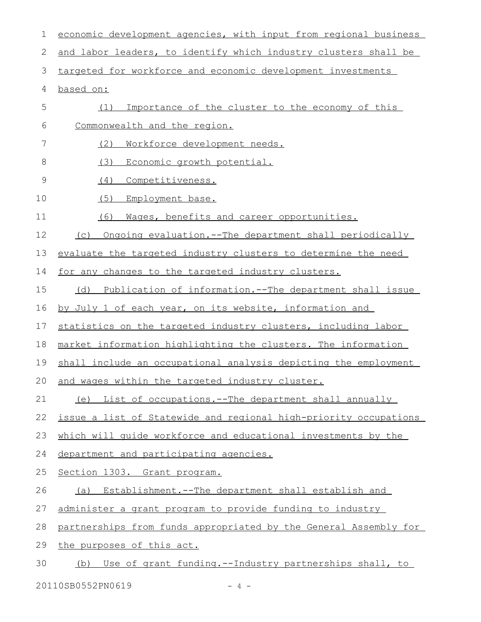| 1  | economic development agencies, with input from regional business |
|----|------------------------------------------------------------------|
| 2  | and labor leaders, to identify which industry clusters shall be  |
| 3  | targeted for workforce and economic development investments      |
| 4  | based on:                                                        |
| 5  | Importance of the cluster to the economy of this<br>(1)          |
| 6  | Commonwealth and the region.                                     |
| 7  | (2)<br>Workforce development needs.                              |
| 8  | (3)<br>Economic growth potential.                                |
| 9  | (4)<br>Competitiveness.                                          |
| 10 | (5)<br>Employment base.                                          |
| 11 | (6)<br>Mages, benefits and career opportunities.                 |
| 12 | Ongoing evaluation.--The department shall periodically<br>(C)    |
| 13 | evaluate the targeted industry clusters to determine the need    |
| 14 | for any changes to the targeted industry clusters.               |
| 15 | Publication of information.--The department shall issue<br>(d)   |
| 16 | by July 1 of each year, on its website, information and          |
| 17 | statistics on the targeted industry clusters, including labor    |
| 18 | market information highlighting the clusters. The information    |
| 19 | shall include an occupational analysis depicting the employment  |
|    | 20 and wages within the targeted industry cluster.               |
| 21 | (e) List of occupations.--The department shall annually          |
| 22 | issue a list of Statewide and regional high-priority occupations |
| 23 | which will quide workforce and educational investments by the    |
| 24 | department and participating agencies.                           |
| 25 | Section 1303. Grant program.                                     |
| 26 | Establishment.--The department shall establish and<br>(a)        |
| 27 | administer a grant program to provide funding to industry        |
| 28 | partnerships from funds appropriated by the General Assembly for |
| 29 | the purposes of this act.                                        |
| 30 | (b) Use of grant funding.--Industry partnerships shall, to       |
|    |                                                                  |

20110SB0552PN0619 - 4 -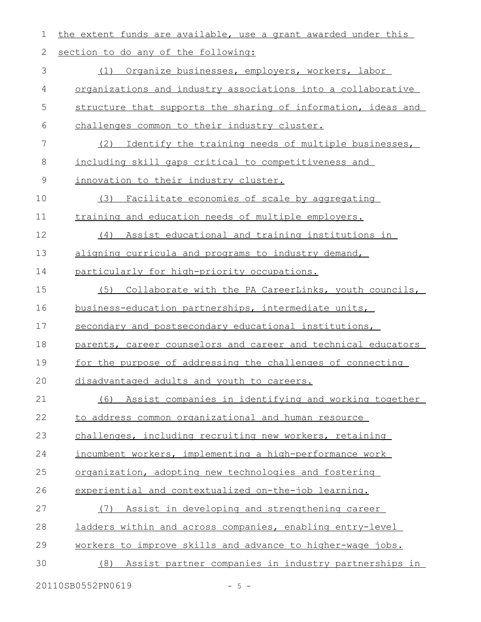| 1           | the extent funds are available, use a grant awarded under this |
|-------------|----------------------------------------------------------------|
| 2           | section to do any of the following:                            |
| 3           | Organize businesses, employers, workers, labor<br>(1)          |
| 4           | organizations and industry associations into a collaborative   |
| 5           | structure that supports the sharing of information, ideas and  |
| 6           | challenges common to their industry cluster.                   |
| 7           | Identify the training needs of multiple businesses,<br>(2)     |
| 8           | including skill gaps critical to competitiveness and           |
| $\mathsf 9$ | innovation to their industry cluster.                          |
| 10          | (3)<br>Facilitate economies of scale by aggregating            |
| 11          | training and education needs of multiple employers.            |
| 12          | Assist educational and training institutions in<br>(4)         |
| 13          | aligning curricula and programs to industry demand,            |
| 14          | particularly for high-priority occupations.                    |
| 15          | Collaborate with the PA CareerLinks, youth councils,<br>(5)    |
| 16          | business-education partnerships, intermediate units,           |
| 17          | secondary and postsecondary educational institutions,          |
| 18          | parents, career counselors and career and technical educators  |
| 19          | for the purpose of addressing the challenges of connecting     |
| 20          | disadvantaged adults and youth to careers.                     |
| 21          | Assist companies in identifying and working together<br>(6)    |
| 22          | to address common organizational and human resource            |
| 23          | challenges, including recruiting new workers, retaining        |
| 24          | incumbent workers, implementing a high-performance work        |
| 25          | organization, adopting new technologies and fostering          |
| 26          | experiential and contextualized on-the-job learning.           |
| 27          | Assist in developing and strengthening career<br>(7)           |
| 28          | ladders within and across companies, enabling entry-level      |
| 29          | workers to improve skills and advance to higher-wage jobs.     |
| 30          | Assist partner companies in industry partnerships in<br>(8)    |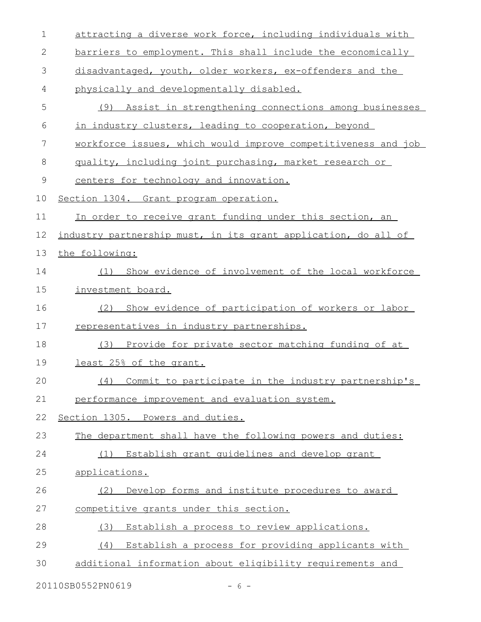| $\mathbf 1$ | attracting a diverse work force, including individuals with    |
|-------------|----------------------------------------------------------------|
| 2           | barriers to employment. This shall include the economically    |
| 3           | disadvantaged, youth, older workers, ex-offenders and the      |
| 4           | physically and developmentally disabled.                       |
| 5           | (9) Assist in strengthening connections among businesses       |
| 6           | in industry clusters, leading to cooperation, beyond           |
| 7           | workforce issues, which would improve competitiveness and job  |
| 8           | quality, including joint purchasing, market research or        |
| 9           | centers for technology and innovation.                         |
| 10          | Section 1304. Grant program operation.                         |
| 11          | In order to receive grant funding under this section, an       |
| 12          | industry partnership must, in its grant application, do all of |
| 13          | the following:                                                 |
| 14          | Show evidence of involvement of the local workforce<br>(1)     |
| 15          | investment board.                                              |
| 16          | Show evidence of participation of workers or labor<br>(2)      |
| 17          | representatives in industry partnerships.                      |
| 18          | Provide for private sector matching funding of at<br>(3)       |
| 19          | least 25% of the grant.                                        |
| 20          | (4) Commit to participate in the industry partnership's        |
| 21          | performance improvement and evaluation system.                 |
| 22          | Section 1305. Powers and duties.                               |
| 23          | The department shall have the following powers and duties:     |
| 24          | Establish grant quidelines and develop grant<br>(1)            |
| 25          | applications.                                                  |
| 26          | Develop forms and institute procedures to award<br>(2)         |
| 27          | competitive grants under this section.                         |
| 28          | Establish a process to review applications.<br>(3)             |
| 29          | (4) Establish a process for providing applicants with          |
| 30          | additional information about eligibility requirements and      |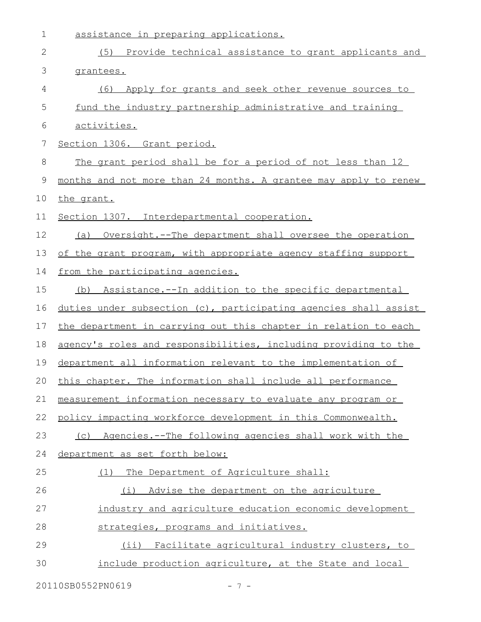| $\mathbf 1$  | assistance in preparing applications.                            |
|--------------|------------------------------------------------------------------|
| $\mathbf{2}$ | (5) Provide technical assistance to grant applicants and         |
| 3            | grantees.                                                        |
| 4            | Apply for grants and seek other revenue sources to<br>(6)        |
| 5            | fund the industry partnership administrative and training        |
| 6            | <u>activities.</u>                                               |
| 7            | Section 1306. Grant period.                                      |
| $8\,$        | The grant period shall be for a period of not less than 12       |
| $\mathsf 9$  | months and not more than 24 months. A grantee may apply to renew |
| 10           | the grant.                                                       |
| 11           | Section 1307. Interdepartmental cooperation.                     |
| 12           | (a) Oversight.--The department shall oversee the operation       |
| 13           | of the grant program, with appropriate agency staffing support   |
| 14           | from the participating agencies.                                 |
| 15           | Assistance.--In addition to the specific departmental<br>(b)     |
| 16           | duties under subsection (c), participating agencies shall assist |
| 17           | the department in carrying out this chapter in relation to each  |
| 18           | agency's roles and responsibilities, including providing to the  |
| 19           | department all information relevant to the implementation of     |
| 20           | this chapter. The information shall include all performance      |
| 21           | measurement information necessary to evaluate any program or     |
| 22           | policy impacting workforce development in this Commonwealth.     |
| 23           | Agencies.--The following agencies shall work with the<br>(C)     |
| 24           | department as set forth below:                                   |
| 25           | The Department of Agriculture shall:<br>(1)                      |
| 26           | Advise the department on the agriculture<br>(i)                  |
| 27           | industry and agriculture education economic development          |
| 28           | strategies, programs and initiatives.                            |
| 29           | Facilitate agricultural industry clusters, to<br>$(i$ i)         |
| 30           | include production agriculture, at the State and local           |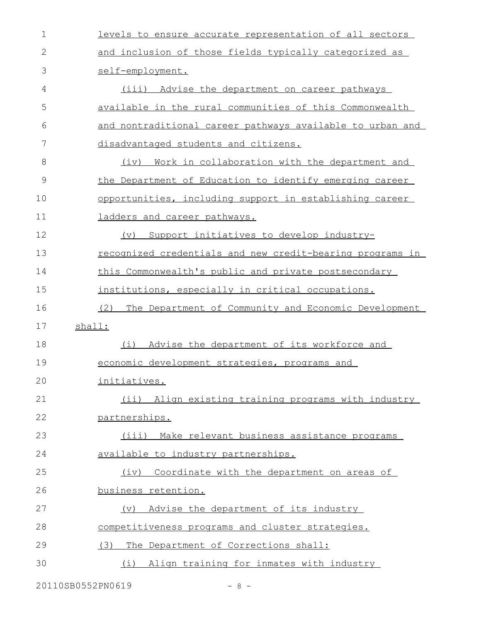| $\mathbf 1$  | levels to ensure accurate representation of all sectors     |
|--------------|-------------------------------------------------------------|
| $\mathbf{2}$ | and inclusion of those fields typically categorized as      |
| 3            | self-employment.                                            |
| 4            | (iii) Advise the department on career pathways              |
| 5            | available in the rural communities of this Commonwealth     |
| 6            | and nontraditional career pathways available to urban and   |
| 7            | disadvantaged students and citizens.                        |
| 8            | (iv) Work in collaboration with the department and          |
| 9            | the Department of Education to identify emerging career     |
| 10           | opportunities, including support in establishing career     |
| 11           | ladders and career pathways.                                |
| 12           | (v) Support initiatives to develop industry-                |
| 13           | recognized credentials and new credit-bearing programs in   |
| 14           | this Commonwealth's public and private postsecondary        |
| 15           | institutions, especially in critical occupations.           |
| 16           | The Department of Community and Economic Development<br>(2) |
| 17           | shall:                                                      |
| 18           | Advise the department of its workforce and<br>(i)           |
| 19           | economic development strategies, programs and               |
| 20           | initiatives.                                                |
| 21           | (ii) Align existing training programs with industry         |
| 22           | partnerships.                                               |
| 23           | Make relevant business assistance programs<br>(iii)         |
|              | available to industry partnerships.                         |
| 24           |                                                             |
| 25           | Coordinate with the department on areas of<br>(iv)          |
| 26           | business retention.                                         |
| 27           | Advise the department of its industry<br>$(\triangledown)$  |
| 28           | competitiveness programs and cluster strategies.            |
| 29           | The Department of Corrections shall:<br>(3)                 |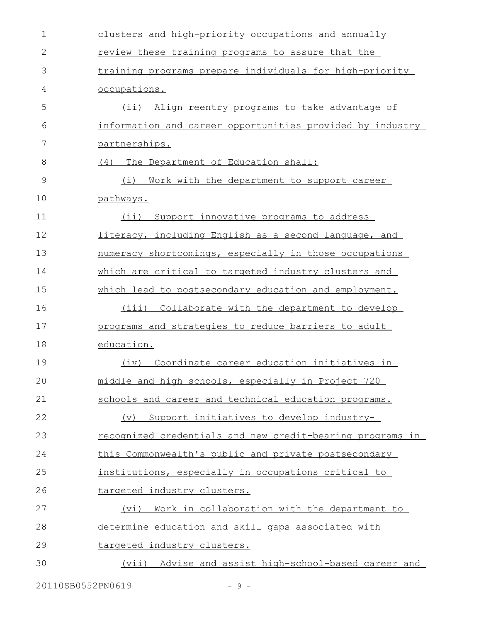| $\mathbf{2}$<br>review these training programs to assure that the<br>3<br>training programs prepare individuals for high-priority<br>4<br>occupations.<br>5<br>(ii) Align reentry programs to take advantage of<br>information and career opportunities provided by industry<br>6<br>7<br>partnerships.<br>8<br>(4) The Department of Education shall:<br>9<br>(i)<br>Work with the department to support career<br>10<br>pathways.<br>11<br>(i)<br>Support innovative programs to address<br>12<br>literacy, including English as a second language, and<br>13<br>numeracy shortcomings, especially in those occupations<br>14<br>which are critical to targeted industry clusters and<br>15<br>which lead to postsecondary education and employment.<br>16<br>Collaborate with the department to develop<br>(iii)<br>17<br>programs and strategies to reduce barriers to adult<br>18<br>education.<br>19<br>(iv) Coordinate career education initiatives in<br>middle and high schools, especially in Project 720<br>20<br>21<br>schools and career and technical education programs.<br>22<br>Support initiatives to develop industry-<br>$(\nabla)$<br>23<br><u>recognized credentials and new credit-bearing programs in</u><br>24<br>this Commonwealth's public and private postsecondary<br>25<br>institutions, especially in occupations critical to<br>26<br>targeted industry clusters.<br>27<br>(vi) Work in collaboration with the department to<br>28<br>determine education and skill gaps associated with<br>29<br>targeted industry clusters.<br>30<br>(vii) Advise and assist high-school-based career and | $\mathbf 1$ | clusters and high-priority occupations and annually |
|-----------------------------------------------------------------------------------------------------------------------------------------------------------------------------------------------------------------------------------------------------------------------------------------------------------------------------------------------------------------------------------------------------------------------------------------------------------------------------------------------------------------------------------------------------------------------------------------------------------------------------------------------------------------------------------------------------------------------------------------------------------------------------------------------------------------------------------------------------------------------------------------------------------------------------------------------------------------------------------------------------------------------------------------------------------------------------------------------------------------------------------------------------------------------------------------------------------------------------------------------------------------------------------------------------------------------------------------------------------------------------------------------------------------------------------------------------------------------------------------------------------------------------------------------------------------------------------------------------------------------------|-------------|-----------------------------------------------------|
|                                                                                                                                                                                                                                                                                                                                                                                                                                                                                                                                                                                                                                                                                                                                                                                                                                                                                                                                                                                                                                                                                                                                                                                                                                                                                                                                                                                                                                                                                                                                                                                                                             |             |                                                     |
|                                                                                                                                                                                                                                                                                                                                                                                                                                                                                                                                                                                                                                                                                                                                                                                                                                                                                                                                                                                                                                                                                                                                                                                                                                                                                                                                                                                                                                                                                                                                                                                                                             |             |                                                     |
|                                                                                                                                                                                                                                                                                                                                                                                                                                                                                                                                                                                                                                                                                                                                                                                                                                                                                                                                                                                                                                                                                                                                                                                                                                                                                                                                                                                                                                                                                                                                                                                                                             |             |                                                     |
|                                                                                                                                                                                                                                                                                                                                                                                                                                                                                                                                                                                                                                                                                                                                                                                                                                                                                                                                                                                                                                                                                                                                                                                                                                                                                                                                                                                                                                                                                                                                                                                                                             |             |                                                     |
|                                                                                                                                                                                                                                                                                                                                                                                                                                                                                                                                                                                                                                                                                                                                                                                                                                                                                                                                                                                                                                                                                                                                                                                                                                                                                                                                                                                                                                                                                                                                                                                                                             |             |                                                     |
|                                                                                                                                                                                                                                                                                                                                                                                                                                                                                                                                                                                                                                                                                                                                                                                                                                                                                                                                                                                                                                                                                                                                                                                                                                                                                                                                                                                                                                                                                                                                                                                                                             |             |                                                     |
|                                                                                                                                                                                                                                                                                                                                                                                                                                                                                                                                                                                                                                                                                                                                                                                                                                                                                                                                                                                                                                                                                                                                                                                                                                                                                                                                                                                                                                                                                                                                                                                                                             |             |                                                     |
|                                                                                                                                                                                                                                                                                                                                                                                                                                                                                                                                                                                                                                                                                                                                                                                                                                                                                                                                                                                                                                                                                                                                                                                                                                                                                                                                                                                                                                                                                                                                                                                                                             |             |                                                     |
|                                                                                                                                                                                                                                                                                                                                                                                                                                                                                                                                                                                                                                                                                                                                                                                                                                                                                                                                                                                                                                                                                                                                                                                                                                                                                                                                                                                                                                                                                                                                                                                                                             |             |                                                     |
|                                                                                                                                                                                                                                                                                                                                                                                                                                                                                                                                                                                                                                                                                                                                                                                                                                                                                                                                                                                                                                                                                                                                                                                                                                                                                                                                                                                                                                                                                                                                                                                                                             |             |                                                     |
|                                                                                                                                                                                                                                                                                                                                                                                                                                                                                                                                                                                                                                                                                                                                                                                                                                                                                                                                                                                                                                                                                                                                                                                                                                                                                                                                                                                                                                                                                                                                                                                                                             |             |                                                     |
|                                                                                                                                                                                                                                                                                                                                                                                                                                                                                                                                                                                                                                                                                                                                                                                                                                                                                                                                                                                                                                                                                                                                                                                                                                                                                                                                                                                                                                                                                                                                                                                                                             |             |                                                     |
|                                                                                                                                                                                                                                                                                                                                                                                                                                                                                                                                                                                                                                                                                                                                                                                                                                                                                                                                                                                                                                                                                                                                                                                                                                                                                                                                                                                                                                                                                                                                                                                                                             |             |                                                     |
|                                                                                                                                                                                                                                                                                                                                                                                                                                                                                                                                                                                                                                                                                                                                                                                                                                                                                                                                                                                                                                                                                                                                                                                                                                                                                                                                                                                                                                                                                                                                                                                                                             |             |                                                     |
|                                                                                                                                                                                                                                                                                                                                                                                                                                                                                                                                                                                                                                                                                                                                                                                                                                                                                                                                                                                                                                                                                                                                                                                                                                                                                                                                                                                                                                                                                                                                                                                                                             |             |                                                     |
|                                                                                                                                                                                                                                                                                                                                                                                                                                                                                                                                                                                                                                                                                                                                                                                                                                                                                                                                                                                                                                                                                                                                                                                                                                                                                                                                                                                                                                                                                                                                                                                                                             |             |                                                     |
|                                                                                                                                                                                                                                                                                                                                                                                                                                                                                                                                                                                                                                                                                                                                                                                                                                                                                                                                                                                                                                                                                                                                                                                                                                                                                                                                                                                                                                                                                                                                                                                                                             |             |                                                     |
|                                                                                                                                                                                                                                                                                                                                                                                                                                                                                                                                                                                                                                                                                                                                                                                                                                                                                                                                                                                                                                                                                                                                                                                                                                                                                                                                                                                                                                                                                                                                                                                                                             |             |                                                     |
|                                                                                                                                                                                                                                                                                                                                                                                                                                                                                                                                                                                                                                                                                                                                                                                                                                                                                                                                                                                                                                                                                                                                                                                                                                                                                                                                                                                                                                                                                                                                                                                                                             |             |                                                     |
|                                                                                                                                                                                                                                                                                                                                                                                                                                                                                                                                                                                                                                                                                                                                                                                                                                                                                                                                                                                                                                                                                                                                                                                                                                                                                                                                                                                                                                                                                                                                                                                                                             |             |                                                     |
|                                                                                                                                                                                                                                                                                                                                                                                                                                                                                                                                                                                                                                                                                                                                                                                                                                                                                                                                                                                                                                                                                                                                                                                                                                                                                                                                                                                                                                                                                                                                                                                                                             |             |                                                     |
|                                                                                                                                                                                                                                                                                                                                                                                                                                                                                                                                                                                                                                                                                                                                                                                                                                                                                                                                                                                                                                                                                                                                                                                                                                                                                                                                                                                                                                                                                                                                                                                                                             |             |                                                     |
|                                                                                                                                                                                                                                                                                                                                                                                                                                                                                                                                                                                                                                                                                                                                                                                                                                                                                                                                                                                                                                                                                                                                                                                                                                                                                                                                                                                                                                                                                                                                                                                                                             |             |                                                     |
|                                                                                                                                                                                                                                                                                                                                                                                                                                                                                                                                                                                                                                                                                                                                                                                                                                                                                                                                                                                                                                                                                                                                                                                                                                                                                                                                                                                                                                                                                                                                                                                                                             |             |                                                     |
|                                                                                                                                                                                                                                                                                                                                                                                                                                                                                                                                                                                                                                                                                                                                                                                                                                                                                                                                                                                                                                                                                                                                                                                                                                                                                                                                                                                                                                                                                                                                                                                                                             |             |                                                     |
|                                                                                                                                                                                                                                                                                                                                                                                                                                                                                                                                                                                                                                                                                                                                                                                                                                                                                                                                                                                                                                                                                                                                                                                                                                                                                                                                                                                                                                                                                                                                                                                                                             |             |                                                     |
|                                                                                                                                                                                                                                                                                                                                                                                                                                                                                                                                                                                                                                                                                                                                                                                                                                                                                                                                                                                                                                                                                                                                                                                                                                                                                                                                                                                                                                                                                                                                                                                                                             |             |                                                     |
|                                                                                                                                                                                                                                                                                                                                                                                                                                                                                                                                                                                                                                                                                                                                                                                                                                                                                                                                                                                                                                                                                                                                                                                                                                                                                                                                                                                                                                                                                                                                                                                                                             |             |                                                     |
|                                                                                                                                                                                                                                                                                                                                                                                                                                                                                                                                                                                                                                                                                                                                                                                                                                                                                                                                                                                                                                                                                                                                                                                                                                                                                                                                                                                                                                                                                                                                                                                                                             |             |                                                     |

20110SB0552PN0619 - 9 -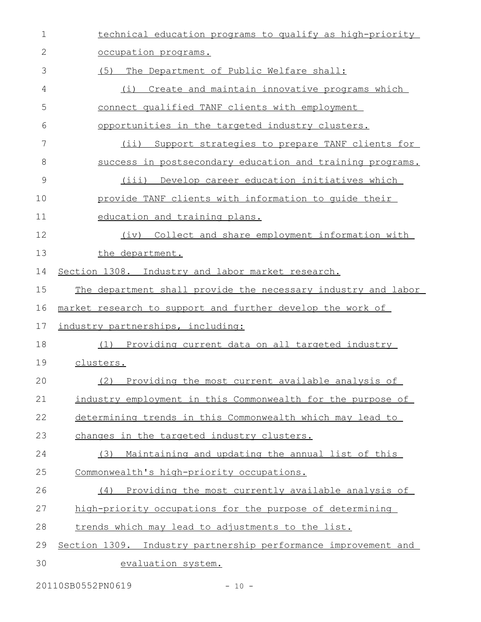| 1  | technical education programs to qualify as high-priority       |
|----|----------------------------------------------------------------|
| 2  | occupation programs.                                           |
| 3  | (5)<br>The Department of Public Welfare shall:                 |
| 4  | Create and maintain innovative programs which<br>(i)           |
| 5  | connect qualified TANF clients with employment                 |
| 6  | opportunities in the targeted industry clusters.               |
| 7  | (ii) Support strategies to prepare TANF clients for            |
| 8  | success in postsecondary education and training programs.      |
| 9  | Develop career education initiatives which<br>(iii)            |
| 10 | provide TANF clients with information to quide their           |
| 11 | education and training plans.                                  |
| 12 | (iv) Collect and share employment information with             |
| 13 | the department.                                                |
| 14 | Section 1308. Industry and labor market research.              |
| 15 | The department shall provide the necessary industry and labor  |
| 16 | market research to support and further develop the work of     |
| 17 | industry partnerships, including:                              |
| 18 | (1) Providing current data on all targeted industry            |
| 19 | clusters.                                                      |
| 20 | Providing the most current available analysis of<br>(2)        |
| 21 | industry employment in this Commonwealth for the purpose of    |
| 22 | determining trends in this Commonwealth which may lead to      |
| 23 | changes in the targeted industry clusters.                     |
| 24 | Maintaining and updating the annual list of this<br>(3)        |
| 25 | Commonwealth's high-priority occupations.                      |
| 26 | (4) Providing the most currently available analysis of         |
| 27 | high-priority occupations for the purpose of determining       |
| 28 | trends which may lead to adjustments to the list.              |
| 29 | Section 1309. Industry partnership performance improvement and |
| 30 | evaluation system.                                             |

20110SB0552PN0619 - 10 -